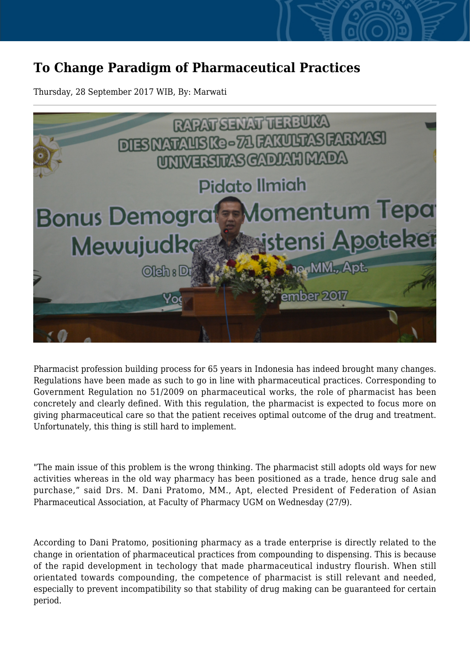## **To Change Paradigm of Pharmaceutical Practices**

Thursday, 28 September 2017 WIB, By: Marwati



Pharmacist profession building process for 65 years in Indonesia has indeed brought many changes. Regulations have been made as such to go in line with pharmaceutical practices. Corresponding to Government Regulation no 51/2009 on pharmaceutical works, the role of pharmacist has been concretely and clearly defined. With this regulation, the pharmacist is expected to focus more on giving pharmaceutical care so that the patient receives optimal outcome of the drug and treatment. Unfortunately, this thing is still hard to implement.

"The main issue of this problem is the wrong thinking. The pharmacist still adopts old ways for new activities whereas in the old way pharmacy has been positioned as a trade, hence drug sale and purchase," said Drs. M. Dani Pratomo, MM., Apt, elected President of Federation of Asian Pharmaceutical Association, at Faculty of Pharmacy UGM on Wednesday (27/9).

According to Dani Pratomo, positioning pharmacy as a trade enterprise is directly related to the change in orientation of pharmaceutical practices from compounding to dispensing. This is because of the rapid development in techology that made pharmaceutical industry flourish. When still orientated towards compounding, the competence of pharmacist is still relevant and needed, especially to prevent incompatibility so that stability of drug making can be guaranteed for certain period.